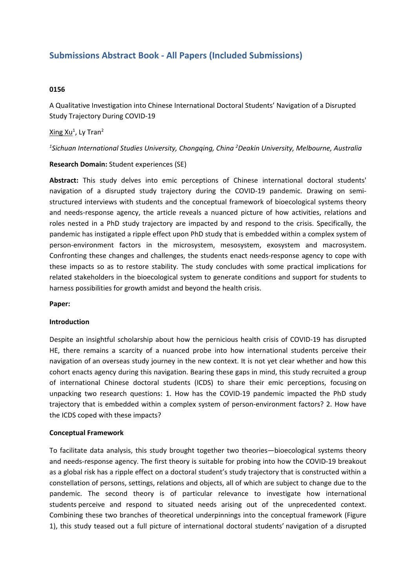# **Submissions Abstract Book - All Papers (Included Submissions)**

# **0156**

A Qualitative Investigation into Chinese International Doctoral Students' Navigation of <sup>a</sup> Disrupted Study Trajectory During COVID-19

# Xing Xu<sup>1</sup>, Ly Tran<sup>2</sup>

*1 Sichuan International Studies University, Chongqing, China <sup>2</sup> Deakin University, Melbourne, Australia*

### **Research Domain:** Student experiences (SE)

**Abstract:** This study delves into emic perceptions of Chinese international doctoral students' navigation of <sup>a</sup> disrupted study trajectory during the COVID-19 pandemic. Drawing on semistructured interviews with students and the conceptual framework of bioecological systems theory and needs-response agency, the article reveals <sup>a</sup> nuanced picture of how activities, relations and roles nested in <sup>a</sup> PhD study trajectory are impacted by and respond to the crisis. Specifically, the pandemic has instigated <sup>a</sup> ripple effect upon PhD study that is embedded within <sup>a</sup> complex system of person-environment factors in the microsystem, mesosystem, exosystem and macrosystem. Confronting these changes and challenges, the students enact needs-response agency to cope with these impacts so as to restore stability. The study concludes with some practical implications for related stakeholders in the bioecological system to generate conditions and support for students to harness possibilities for growth amidst and beyond the health crisis.

### **Paper:**

#### **Introduction**

Despite an insightful scholarship about how the pernicious health crisis of COVID-19 has disrupted HE, there remains <sup>a</sup> scarcity of <sup>a</sup> nuanced probe into how international students perceive their navigation of an overseas study journey in the new context. It is not yet clear whether and how this cohort enacts agency during this navigation. Bearing these gaps in mind, this study recruited <sup>a</sup> group of international Chinese doctoral students (ICDS) to share their emic perceptions, focusing on unpacking two research questions: 1. How has the COVID-19 pandemic impacted the PhD study trajectory that is embedded within <sup>a</sup> complex system of person-environment factors? 2. How have the ICDS coped with these impacts?

### **Conceptual Framework**

To facilitate data analysis, this study brought together two theories—bioecological systems theory and needs-response agency. The first theory is suitable for probing into how the COVID-19 breakout as <sup>a</sup> global risk has <sup>a</sup> ripple effect on <sup>a</sup> doctoral student's study trajectory that is constructed within <sup>a</sup> constellation of persons, settings, relations and objects, all of which are subject to change due to the pandemic. The second theory is of particular relevance to investigate how international students perceive and respond to situated needs arising out of the unprecedented context. Combining these two branches of theoretical underpinnings into the conceptual framework (Figure 1), this study teased out <sup>a</sup> full picture of international doctoral students' navigation of <sup>a</sup> disrupted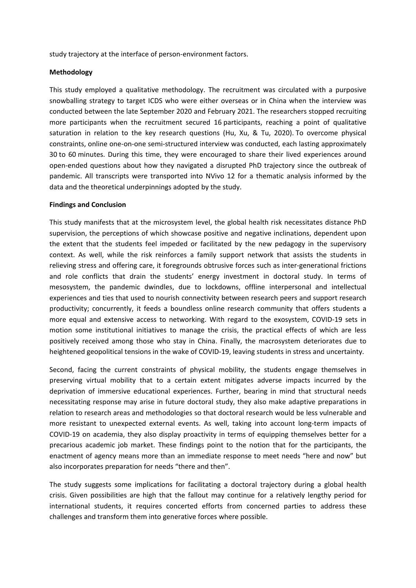study trajectory at the interface of person-environment factors.

#### **Methodology**

This study employed <sup>a</sup> qualitative methodology. The recruitment was circulated with <sup>a</sup> purposive snowballing strategy to target ICDS who were either overseas or in China when the interview was conducted between the late September 2020 and February 2021. The researchers stopped recruiting more participants when the recruitment secured 16 participants, reaching <sup>a</sup> point of qualitative saturation in relation to the key research questions (Hu, Xu, & Tu, 2020). To overcome physical constraints, online one-on-one semi-structured interview was conducted, each lasting approximately 30 to 60 minutes. During this time, they were encouraged to share their lived experiences around open-ended questions about how they navigated <sup>a</sup> disrupted PhD trajectory since the outbreak of pandemic. All transcripts were transported into NVivo 12 for <sup>a</sup> thematic analysis informed by the data and the theoretical underpinnings adopted by the study.

#### **Findings and Conclusion**

This study manifests that at the microsystem level, the global health risk necessitates distance PhD supervision, the perceptions of which showcase positive and negative inclinations, dependent upon the extent that the students feel impeded or facilitated by the new pedagogy in the supervisory context. As well, while the risk reinforces <sup>a</sup> family support network that assists the students in relieving stress and offering care, it foregrounds obtrusive forces such as inter-generational frictions and role conflicts that drain the students' energy investment in doctoral study. In terms of mesosystem, the pandemic dwindles, due to lockdowns, offline interpersonal and intellectual experiences and ties that used to nourish connectivity between research peers and support research productivity; concurrently, it feeds <sup>a</sup> boundless online research community that offers students <sup>a</sup> more equal and extensive access to networking. With regard to the exosystem, COVID-19 sets in motion some institutional initiatives to manage the crisis, the practical effects of which are less positively received among those who stay in China. Finally, the macrosystem deteriorates due to heightened geopolitical tensions in the wake of COVID-19, leaving students in stress and uncertainty.

Second, facing the current constraints of physical mobility, the students engage themselves in preserving virtual mobility that to <sup>a</sup> certain extent mitigates adverse impacts incurred by the deprivation of immersive educational experiences. Further, bearing in mind that structural needs necessitating response may arise in future doctoral study, they also make adaptive preparations in relation to research areas and methodologies so that doctoral research would be less vulnerable and more resistant to unexpected external events. As well, taking into account long-term impacts of COVID-19 on academia, they also display proactivity in terms of equipping themselves better for <sup>a</sup> precarious academic job market. These findings point to the notion that for the participants, the enactment of agency means more than an immediate response to meet needs "here and now" but also incorporates preparation for needs "there and then".

The study suggests some implications for facilitating <sup>a</sup> doctoral trajectory during <sup>a</sup> global health crisis. Given possibilities are high that the fallout may continue for <sup>a</sup> relatively lengthy period for international students, it requires concerted efforts from concerned parties to address these challenges and transform them into generative forces where possible.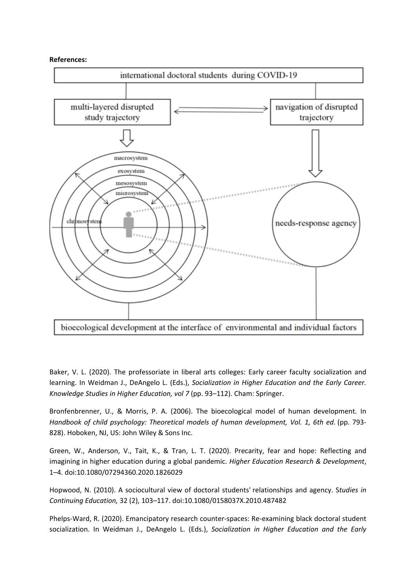**References:**



Baker, V. L. (2020). The professoriate in liberal arts colleges: Early career faculty socialization and learning. In Weidman J., DeAngelo L. (Eds.), *Socialization in Higher Education and the Early Career. Knowledge Studies in Higher Education, vol 7* (pp. 93–112). Cham: Springer.

Bronfenbrenner, U., & Morris, P. A. (2006). The bioecological model of human development. In *Handbook of child psychology: Theoretical models of human development, Vol. 1, 6th ed.* (pp. 793- 828). Hoboken, NJ, US: John Wiley & Sons Inc.

Green, W., Anderson, V., Tait, K., & Tran, L. T. (2020). Precarity, fear and hope: Reflecting and imagining in higher education during <sup>a</sup> global pandemic. *Higher Education Research & Development*, 1–4. doi:10.1080/07294360.2020.1826029

Hopwood, N. (2010). A sociocultural view of doctoral students' relationships and agency. S*tudies in Continuing Education,* 32 (2), 103–117. doi:10.1080/0158037X.2010.487482

Phelps-Ward, R. (2020). Emancipatory research counter-spaces: Re-examining black doctoral student socialization. In Weidman J., DeAngelo L. (Eds.), *Socialization in Higher Education and the Early*